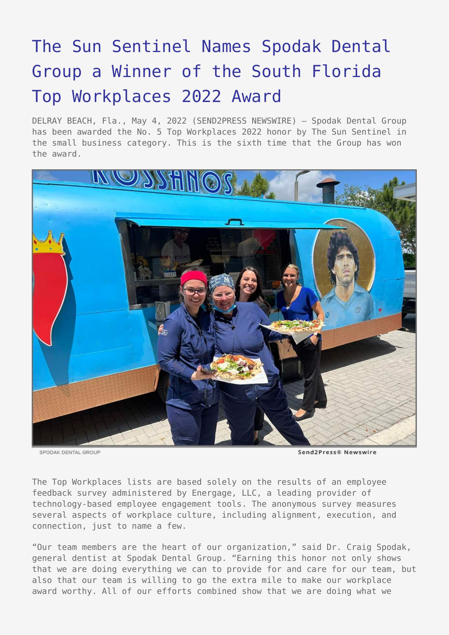## [The Sun Sentinel Names Spodak Dental](https://www.send2press.com/wire/the-sun-sentinel-names-spodak-dental-group-a-winner-of-the-south-florida-top-workplaces-2022-award/) [Group a Winner of the South Florida](https://www.send2press.com/wire/the-sun-sentinel-names-spodak-dental-group-a-winner-of-the-south-florida-top-workplaces-2022-award/) [Top Workplaces 2022 Award](https://www.send2press.com/wire/the-sun-sentinel-names-spodak-dental-group-a-winner-of-the-south-florida-top-workplaces-2022-award/)

DELRAY BEACH, Fla., May 4, 2022 (SEND2PRESS NEWSWIRE) — Spodak Dental Group has been awarded the No. 5 Top Workplaces 2022 honor by The Sun Sentinel in the small business category. This is the sixth time that the Group has won the award.



SPODAK DENTAL GROUP

Send2Press® Newswire

The Top Workplaces lists are based solely on the results of an employee feedback survey administered by Energage, LLC, a leading provider of technology-based employee engagement tools. The anonymous survey measures several aspects of workplace culture, including alignment, execution, and connection, just to name a few.

"Our team members are the heart of our organization," said Dr. Craig Spodak, general dentist at Spodak Dental Group. "Earning this honor not only shows that we are doing everything we can to provide for and care for our team, but also that our team is willing to go the extra mile to make our workplace award worthy. All of our efforts combined show that we are doing what we